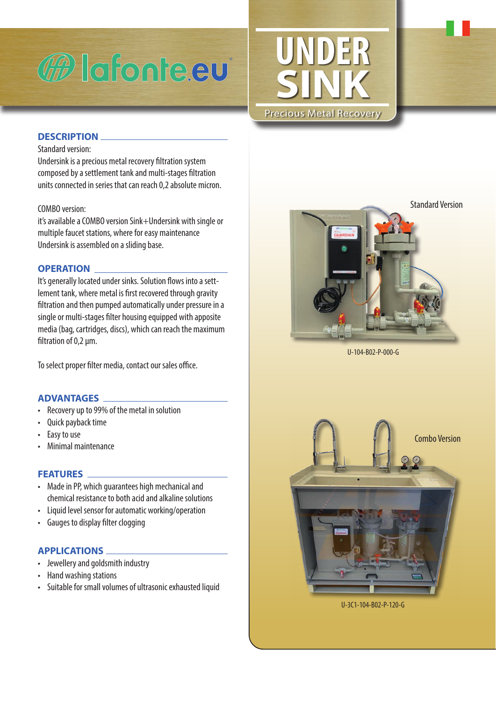

# **UNDER SINK** Precious Metal Recovery

## **DESCRIPTION**

#### Standard version:

Undersink is a precious metal recovery filtration system composed by a settlement tank and multi-stages filtration units connected in series that can reach 0,2 absolute micron.

#### COMBO version:

it's available a COMBO version Sink+Undersink with single or multiple faucet stations, where for easy maintenance Undersink is assembled on a sliding base.

#### **OPERATION**

It's generally located under sinks. Solution flows into a settlement tank, where metal is first recovered through gravity filtration and then pumped automatically under pressure in a single or multi-stages filter housing equipped with apposite media (bag, cartridges, discs), which can reach the maximum filtration of 0,2 µm.

To select proper filter media, contact our sales office.

# **ADVANTAGES**

- Recovery up to 99% of the metal in solution
- Quick payback time
- Easy to use
- Minimal maintenance

#### **FEATURES**

- Made in PP, which guarantees high mechanical and chemical resistance to both acid and alkaline solutions
- Liquid level sensor for automatic working/operation
- Gauges to display filter clogging

# **APPLICATIONS**

- Jewellery and goldsmith industry
- Hand washing stations
- Suitable for small volumes of ultrasonic exhausted liquid



U-104-B02-P-000-G



U-3C1-104-B02-P-120-G